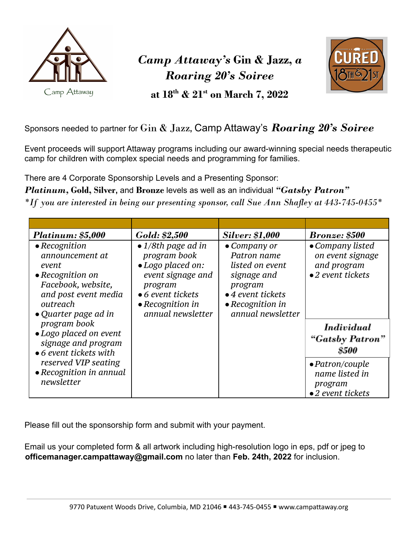

## *Camp Attaway's* **Gin & Jazz,** *a Roaring 20's Soiree*



**at 18th & 21st on March 7, 2022**

## Sponsors needed to partner for Gin & Jazz**,** Camp Attaway's *Roaring 20's Soiree*

Event proceeds will support Attaway programs including our award-winning special needs therapeutic camp for children with complex special needs and programming for families.

There are 4 Corporate Sponsorship Levels and a Presenting Sponsor:

*Platinum,* **Gold, Silver,** and **Bronze** levels as well as an individual *"Gatsby Patron"*

*\*If you are interested in being our presenting sponsor, call Sue Ann Shafley at 443-745-0455\**

| <b>Platinum: \$5,000</b>                                                                                                                                        | Gold: \$2,500                                                                                                                                                            | <b>Silver: \$1,000</b>                                                                                                                                 | <b>Bronze: \$500</b>                                                              |
|-----------------------------------------------------------------------------------------------------------------------------------------------------------------|--------------------------------------------------------------------------------------------------------------------------------------------------------------------------|--------------------------------------------------------------------------------------------------------------------------------------------------------|-----------------------------------------------------------------------------------|
| $\bullet$ Recognition<br>announcement at<br>event<br>$\bullet$ Recognition on<br>Facebook, website,<br>and post event media<br>outreach<br>• Quarter page ad in | • $1/8$ th page ad in<br>program book<br>• Logo placed on:<br>event signage and<br>program<br>$\bullet$ 6 event tickets<br>$\bullet$ Recognition in<br>annual newsletter | • Company or<br>Patron name<br>listed on event<br>signage and<br>program<br>$\bullet$ 4 event tickets<br>$\bullet$ Recognition in<br>annual newsletter | • Company listed<br>on event signage<br>and program<br>•2 event tickets           |
| program book<br>• Logo placed on event<br>signage and program<br>$\bullet$ 6 event tickets with                                                                 |                                                                                                                                                                          |                                                                                                                                                        | <i>Individual</i><br>"Gatsby Patron"<br><b>\$500</b>                              |
| reserved VIP seating<br>• Recognition in annual<br>newsletter                                                                                                   |                                                                                                                                                                          |                                                                                                                                                        | $\bullet$ Patron/couple<br>name listed in<br>program<br>$\bullet$ 2 event tickets |

Please fill out the sponsorship form and submit with your payment.

Email us your completed form & all artwork including high-resolution logo in eps, pdf or jpeg to **officemanager.campattaway@gmail.com** no later than **Feb. 24th, 2022** for inclusion.